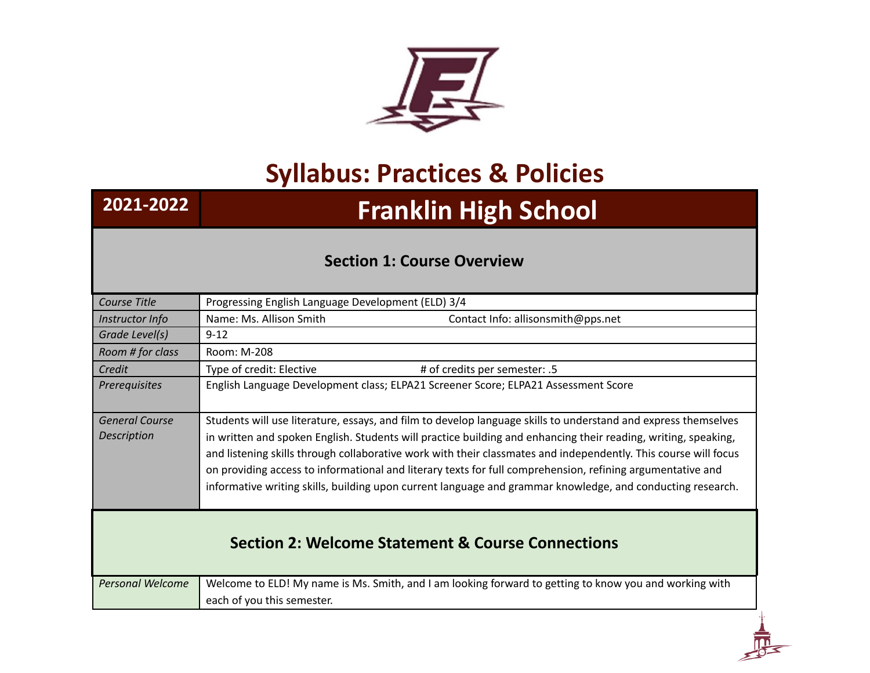

## **Syllabus: Practices & Policies**

## **2021-2022 Franklin High School**

## **Section 1: Course Overview**

| Course Title                                                 | Progressing English Language Development (ELD) 3/4                                                                                                                                                                                                                                                                                                                                                                                                                                                                                                                              |
|--------------------------------------------------------------|---------------------------------------------------------------------------------------------------------------------------------------------------------------------------------------------------------------------------------------------------------------------------------------------------------------------------------------------------------------------------------------------------------------------------------------------------------------------------------------------------------------------------------------------------------------------------------|
| Instructor Info                                              | Name: Ms. Allison Smith<br>Contact Info: allisonsmith@pps.net                                                                                                                                                                                                                                                                                                                                                                                                                                                                                                                   |
| Grade Level(s)                                               | $9 - 12$                                                                                                                                                                                                                                                                                                                                                                                                                                                                                                                                                                        |
| Room # for class                                             | Room: M-208                                                                                                                                                                                                                                                                                                                                                                                                                                                                                                                                                                     |
| Credit                                                       | Type of credit: Elective<br># of credits per semester: .5                                                                                                                                                                                                                                                                                                                                                                                                                                                                                                                       |
| Prerequisites                                                | English Language Development class; ELPA21 Screener Score; ELPA21 Assessment Score                                                                                                                                                                                                                                                                                                                                                                                                                                                                                              |
| <b>General Course</b><br><b>Description</b>                  | Students will use literature, essays, and film to develop language skills to understand and express themselves<br>in written and spoken English. Students will practice building and enhancing their reading, writing, speaking,<br>and listening skills through collaborative work with their classmates and independently. This course will focus<br>on providing access to informational and literary texts for full comprehension, refining argumentative and<br>informative writing skills, building upon current language and grammar knowledge, and conducting research. |
| <b>Section 2: Welcome Statement &amp; Course Connections</b> |                                                                                                                                                                                                                                                                                                                                                                                                                                                                                                                                                                                 |
| <b>Personal Welcome</b>                                      | Welcome to ELD! My name is Ms. Smith, and I am looking forward to getting to know you and working with<br>each of you this semester.                                                                                                                                                                                                                                                                                                                                                                                                                                            |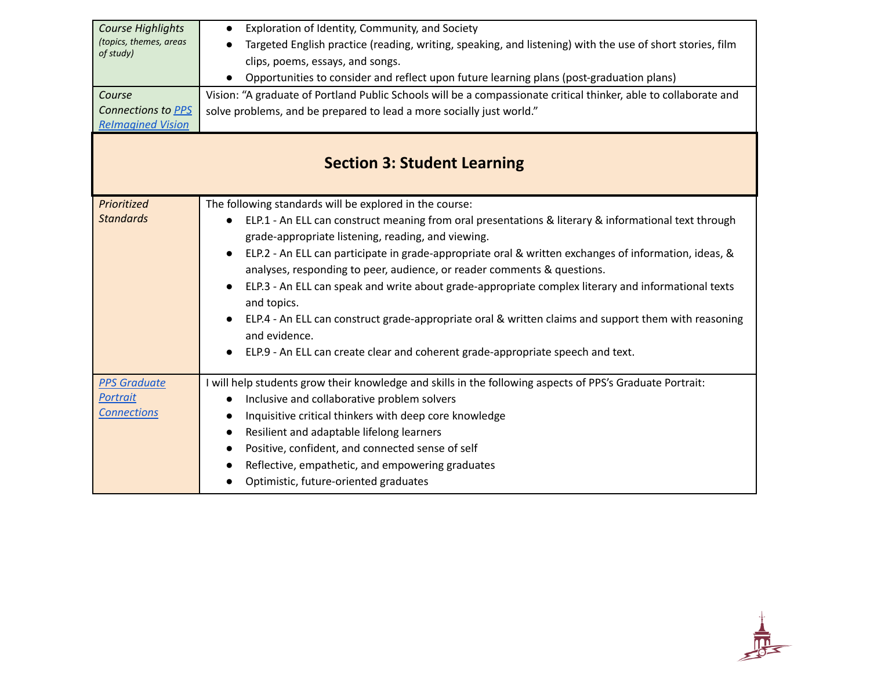| <b>Course Highlights</b><br>(topics, themes, areas<br>of study)<br>Course<br>Connections to PPS | Exploration of Identity, Community, and Society<br>$\bullet$<br>Targeted English practice (reading, writing, speaking, and listening) with the use of short stories, film<br>clips, poems, essays, and songs.<br>Opportunities to consider and reflect upon future learning plans (post-graduation plans)<br>Vision: "A graduate of Portland Public Schools will be a compassionate critical thinker, able to collaborate and<br>solve problems, and be prepared to lead a more socially just world."                                                                                                                                                                                                                                                                              |
|-------------------------------------------------------------------------------------------------|------------------------------------------------------------------------------------------------------------------------------------------------------------------------------------------------------------------------------------------------------------------------------------------------------------------------------------------------------------------------------------------------------------------------------------------------------------------------------------------------------------------------------------------------------------------------------------------------------------------------------------------------------------------------------------------------------------------------------------------------------------------------------------|
| <b>Relmagined Vision</b><br><b>Section 3: Student Learning</b>                                  |                                                                                                                                                                                                                                                                                                                                                                                                                                                                                                                                                                                                                                                                                                                                                                                    |
| Prioritized<br><b>Standards</b>                                                                 | The following standards will be explored in the course:<br>ELP.1 - An ELL can construct meaning from oral presentations & literary & informational text through<br>$\bullet$<br>grade-appropriate listening, reading, and viewing.<br>ELP.2 - An ELL can participate in grade-appropriate oral & written exchanges of information, ideas, &<br>$\bullet$<br>analyses, responding to peer, audience, or reader comments & questions.<br>ELP.3 - An ELL can speak and write about grade-appropriate complex literary and informational texts<br>$\bullet$<br>and topics.<br>ELP.4 - An ELL can construct grade-appropriate oral & written claims and support them with reasoning<br>and evidence.<br>ELP.9 - An ELL can create clear and coherent grade-appropriate speech and text. |
| <b>PPS Graduate</b><br>Portrait<br><b>Connections</b>                                           | I will help students grow their knowledge and skills in the following aspects of PPS's Graduate Portrait:<br>Inclusive and collaborative problem solvers<br>$\bullet$<br>Inquisitive critical thinkers with deep core knowledge<br>$\bullet$<br>Resilient and adaptable lifelong learners<br>$\bullet$<br>Positive, confident, and connected sense of self<br>$\bullet$<br>Reflective, empathetic, and empowering graduates<br>Optimistic, future-oriented graduates                                                                                                                                                                                                                                                                                                               |

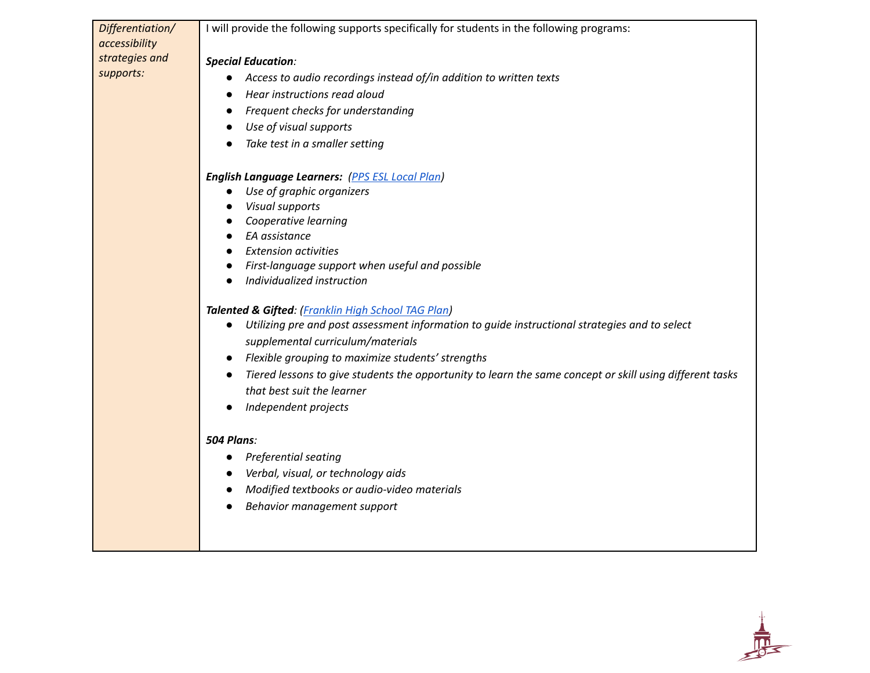| Differentiation/ | I will provide the following supports specifically for students in the following programs:                 |
|------------------|------------------------------------------------------------------------------------------------------------|
| accessibility    |                                                                                                            |
| strategies and   | <b>Special Education:</b>                                                                                  |
| supports:        | Access to audio recordings instead of/in addition to written texts<br>$\bullet$                            |
|                  | Hear instructions read aloud<br>$\bullet$                                                                  |
|                  | Frequent checks for understanding<br>$\bullet$                                                             |
|                  | Use of visual supports                                                                                     |
|                  | Take test in a smaller setting                                                                             |
|                  | <b>English Language Learners:</b> (PPS ESL Local Plan)                                                     |
|                  | Use of graphic organizers<br>$\bullet$                                                                     |
|                  | <b>Visual supports</b><br>$\bullet$                                                                        |
|                  | Cooperative learning                                                                                       |
|                  | EA assistance                                                                                              |
|                  | <b>Extension activities</b><br>$\bullet$                                                                   |
|                  | First-language support when useful and possible<br>$\bullet$                                               |
|                  | Individualized instruction                                                                                 |
|                  | Talented & Gifted: (Franklin High School TAG Plan)                                                         |
|                  | Utilizing pre and post assessment information to guide instructional strategies and to select<br>$\bullet$ |
|                  | supplemental curriculum/materials                                                                          |
|                  | Flexible grouping to maximize students' strengths                                                          |
|                  | Tiered lessons to give students the opportunity to learn the same concept or skill using different tasks   |
|                  | that best suit the learner                                                                                 |
|                  | Independent projects                                                                                       |
|                  | <b>504 Plans:</b>                                                                                          |
|                  | <b>Preferential seating</b>                                                                                |
|                  | Verbal, visual, or technology aids                                                                         |
|                  | Modified textbooks or audio-video materials                                                                |
|                  | Behavior management support                                                                                |
|                  |                                                                                                            |
|                  |                                                                                                            |
|                  |                                                                                                            |

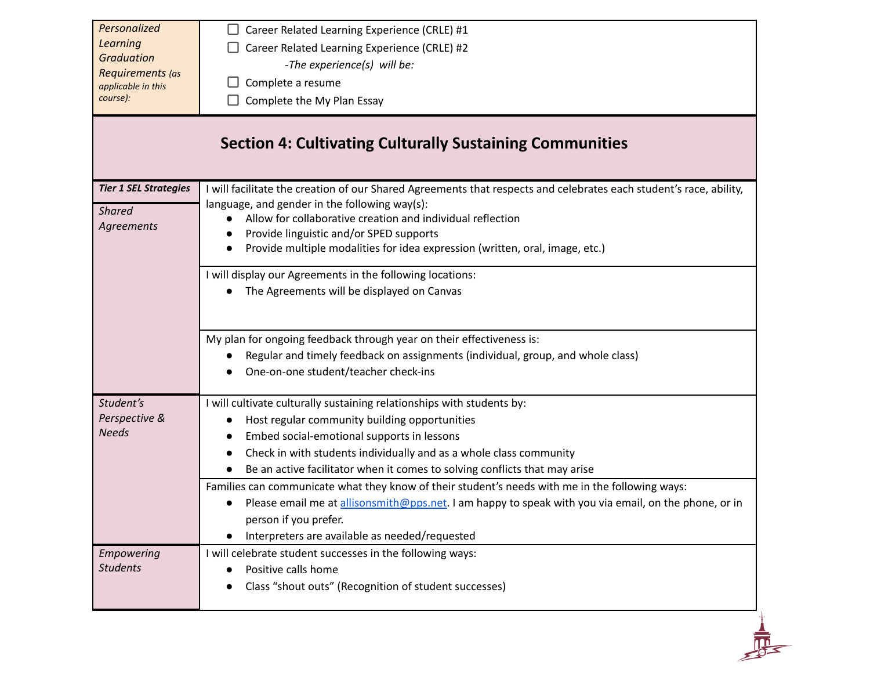| Personalized<br><b>Learning</b><br><b>Graduation</b><br>Requirements (as<br>applicable in this<br>course): | Career Related Learning Experience (CRLE) #1<br>Career Related Learning Experience (CRLE) #2<br>-The experience(s) will be:<br>Complete a resume<br>Complete the My Plan Essay<br><b>Section 4: Cultivating Culturally Sustaining Communities</b>                                                                                                                                                                                                                                                                                                                                                               |
|------------------------------------------------------------------------------------------------------------|-----------------------------------------------------------------------------------------------------------------------------------------------------------------------------------------------------------------------------------------------------------------------------------------------------------------------------------------------------------------------------------------------------------------------------------------------------------------------------------------------------------------------------------------------------------------------------------------------------------------|
| <b>Tier 1 SEL Strategies</b><br><b>Shared</b><br><b>Agreements</b>                                         | I will facilitate the creation of our Shared Agreements that respects and celebrates each student's race, ability,<br>language, and gender in the following way(s):<br>Allow for collaborative creation and individual reflection<br>Provide linguistic and/or SPED supports<br>Provide multiple modalities for idea expression (written, oral, image, etc.)<br>I will display our Agreements in the following locations:<br>The Agreements will be displayed on Canvas                                                                                                                                         |
|                                                                                                            | My plan for ongoing feedback through year on their effectiveness is:<br>Regular and timely feedback on assignments (individual, group, and whole class)<br>One-on-one student/teacher check-ins                                                                                                                                                                                                                                                                                                                                                                                                                 |
| Student's<br>Perspective &<br><b>Needs</b>                                                                 | I will cultivate culturally sustaining relationships with students by:<br>Host regular community building opportunities<br>Embed social-emotional supports in lessons<br>Check in with students individually and as a whole class community<br>Be an active facilitator when it comes to solving conflicts that may arise<br>Families can communicate what they know of their student's needs with me in the following ways:<br>Please email me at allisonsmith@pps.net. I am happy to speak with you via email, on the phone, or in<br>person if you prefer.<br>Interpreters are available as needed/requested |
| Empowering<br><b>Students</b>                                                                              | I will celebrate student successes in the following ways:<br>Positive calls home<br>Class "shout outs" (Recognition of student successes)                                                                                                                                                                                                                                                                                                                                                                                                                                                                       |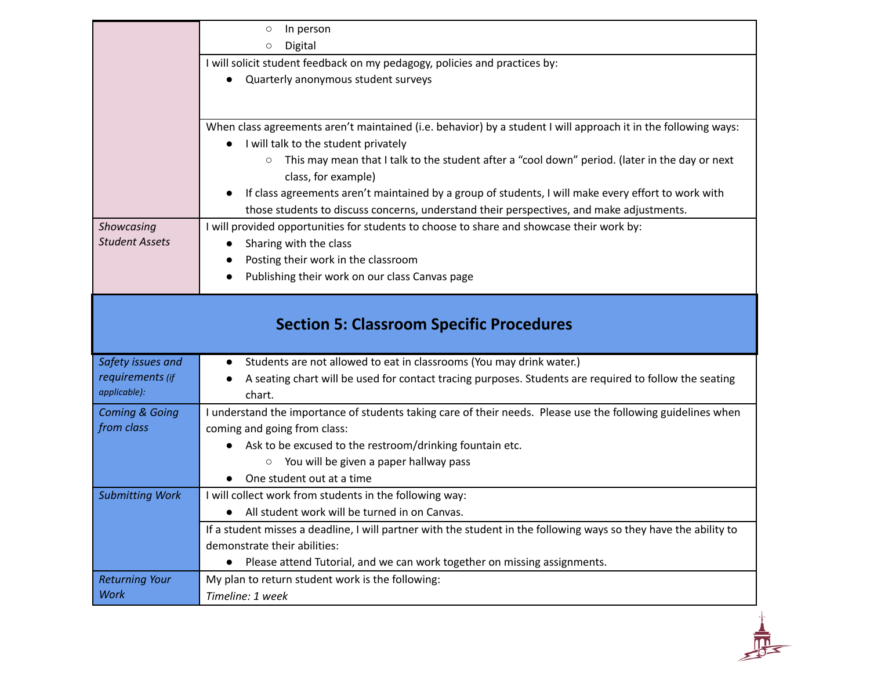|                           | In person<br>$\circ$                                                                                                                                                                            |
|---------------------------|-------------------------------------------------------------------------------------------------------------------------------------------------------------------------------------------------|
|                           | Digital<br>$\circ$                                                                                                                                                                              |
|                           | I will solicit student feedback on my pedagogy, policies and practices by:                                                                                                                      |
|                           | Quarterly anonymous student surveys                                                                                                                                                             |
|                           |                                                                                                                                                                                                 |
|                           | When class agreements aren't maintained (i.e. behavior) by a student I will approach it in the following ways:<br>I will talk to the student privately                                          |
|                           | This may mean that I talk to the student after a "cool down" period. (later in the day or next<br>$\circ$<br>class, for example)                                                                |
|                           | If class agreements aren't maintained by a group of students, I will make every effort to work with<br>those students to discuss concerns, understand their perspectives, and make adjustments. |
| Showcasing                | I will provided opportunities for students to choose to share and showcase their work by:                                                                                                       |
| <b>Student Assets</b>     | Sharing with the class                                                                                                                                                                          |
|                           | Posting their work in the classroom                                                                                                                                                             |
|                           |                                                                                                                                                                                                 |
|                           | Publishing their work on our class Canvas page                                                                                                                                                  |
|                           | <b>Section 5: Classroom Specific Procedures</b>                                                                                                                                                 |
| Safety issues and         | Students are not allowed to eat in classrooms (You may drink water.)                                                                                                                            |
| requirements (if          | A seating chart will be used for contact tracing purposes. Students are required to follow the seating                                                                                          |
| applicable):              | chart.                                                                                                                                                                                          |
| <b>Coming &amp; Going</b> | I understand the importance of students taking care of their needs. Please use the following guidelines when                                                                                    |
| from class                | coming and going from class:                                                                                                                                                                    |
|                           | Ask to be excused to the restroom/drinking fountain etc.                                                                                                                                        |
|                           | You will be given a paper hallway pass<br>One student out at a time                                                                                                                             |
|                           |                                                                                                                                                                                                 |
| <b>Submitting Work</b>    | I will collect work from students in the following way:<br>All student work will be turned in on Canvas.                                                                                        |
|                           | If a student misses a deadline, I will partner with the student in the following ways so they have the ability to                                                                               |
|                           | demonstrate their abilities:                                                                                                                                                                    |
|                           | Please attend Tutorial, and we can work together on missing assignments.                                                                                                                        |
| <b>Returning Your</b>     | My plan to return student work is the following:                                                                                                                                                |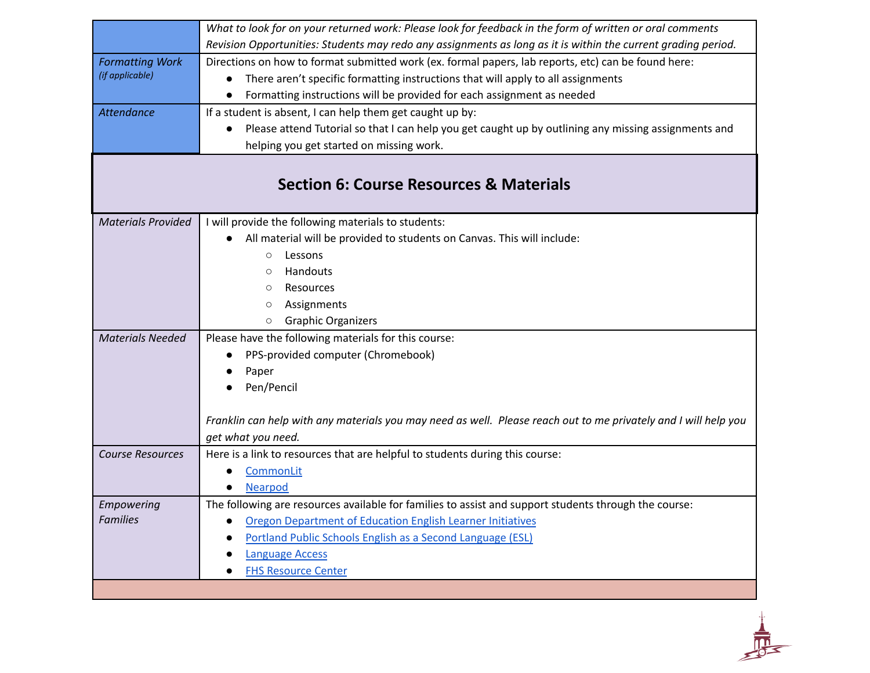|                               | What to look for on your returned work: Please look for feedback in the form of written or oral comments        |
|-------------------------------|-----------------------------------------------------------------------------------------------------------------|
|                               | Revision Opportunities: Students may redo any assignments as long as it is within the current grading period.   |
| <b>Formatting Work</b>        | Directions on how to format submitted work (ex. formal papers, lab reports, etc) can be found here:             |
| (if applicable)               | There aren't specific formatting instructions that will apply to all assignments                                |
|                               | Formatting instructions will be provided for each assignment as needed                                          |
| Attendance                    | If a student is absent, I can help them get caught up by:                                                       |
|                               | Please attend Tutorial so that I can help you get caught up by outlining any missing assignments and            |
|                               | helping you get started on missing work.                                                                        |
|                               | <b>Section 6: Course Resources &amp; Materials</b>                                                              |
|                               |                                                                                                                 |
| <b>Materials Provided</b>     | I will provide the following materials to students:                                                             |
|                               | All material will be provided to students on Canvas. This will include:                                         |
|                               | Lessons<br>$\circ$                                                                                              |
|                               | Handouts<br>$\circ$                                                                                             |
|                               | Resources<br>$\circ$                                                                                            |
|                               | Assignments<br>$\circ$                                                                                          |
|                               | <b>Graphic Organizers</b><br>$\circ$                                                                            |
| <b>Materials Needed</b>       | Please have the following materials for this course:                                                            |
|                               | PPS-provided computer (Chromebook)<br>$\bullet$                                                                 |
|                               | Paper                                                                                                           |
|                               | Pen/Pencil                                                                                                      |
|                               |                                                                                                                 |
|                               | Franklin can help with any materials you may need as well. Please reach out to me privately and I will help you |
|                               | get what you need.                                                                                              |
| <b>Course Resources</b>       | Here is a link to resources that are helpful to students during this course:                                    |
|                               | CommonLit                                                                                                       |
|                               | <b>Nearpod</b>                                                                                                  |
| Empowering<br><b>Families</b> | The following are resources available for families to assist and support students through the course:           |
|                               | Oregon Department of Education English Learner Initiatives                                                      |
|                               | Portland Public Schools English as a Second Language (ESL)                                                      |
|                               | <b>Language Access</b>                                                                                          |
|                               | <b>FHS Resource Center</b>                                                                                      |
|                               |                                                                                                                 |

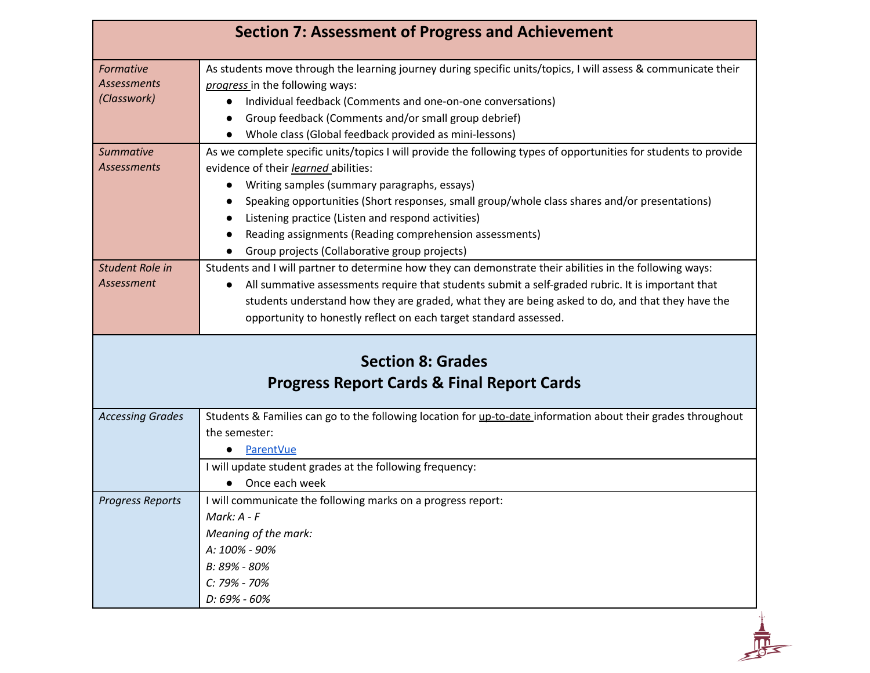| Formative<br>Assessments<br>(Classwork)<br><b>Summative</b><br><b>Assessments</b> | As students move through the learning journey during specific units/topics, I will assess & communicate their<br>progress in the following ways:<br>Individual feedback (Comments and one-on-one conversations)<br>$\bullet$<br>Group feedback (Comments and/or small group debrief)<br>Whole class (Global feedback provided as mini-lessons)<br>As we complete specific units/topics I will provide the following types of opportunities for students to provide<br>evidence of their learned abilities:<br>Writing samples (summary paragraphs, essays)<br>Speaking opportunities (Short responses, small group/whole class shares and/or presentations) |
|-----------------------------------------------------------------------------------|-------------------------------------------------------------------------------------------------------------------------------------------------------------------------------------------------------------------------------------------------------------------------------------------------------------------------------------------------------------------------------------------------------------------------------------------------------------------------------------------------------------------------------------------------------------------------------------------------------------------------------------------------------------|
|                                                                                   |                                                                                                                                                                                                                                                                                                                                                                                                                                                                                                                                                                                                                                                             |
|                                                                                   |                                                                                                                                                                                                                                                                                                                                                                                                                                                                                                                                                                                                                                                             |
|                                                                                   |                                                                                                                                                                                                                                                                                                                                                                                                                                                                                                                                                                                                                                                             |
|                                                                                   |                                                                                                                                                                                                                                                                                                                                                                                                                                                                                                                                                                                                                                                             |
|                                                                                   |                                                                                                                                                                                                                                                                                                                                                                                                                                                                                                                                                                                                                                                             |
|                                                                                   |                                                                                                                                                                                                                                                                                                                                                                                                                                                                                                                                                                                                                                                             |
|                                                                                   |                                                                                                                                                                                                                                                                                                                                                                                                                                                                                                                                                                                                                                                             |
|                                                                                   |                                                                                                                                                                                                                                                                                                                                                                                                                                                                                                                                                                                                                                                             |
|                                                                                   |                                                                                                                                                                                                                                                                                                                                                                                                                                                                                                                                                                                                                                                             |
|                                                                                   | Listening practice (Listen and respond activities)                                                                                                                                                                                                                                                                                                                                                                                                                                                                                                                                                                                                          |
|                                                                                   | Reading assignments (Reading comprehension assessments)                                                                                                                                                                                                                                                                                                                                                                                                                                                                                                                                                                                                     |
|                                                                                   | Group projects (Collaborative group projects)                                                                                                                                                                                                                                                                                                                                                                                                                                                                                                                                                                                                               |
| Student Role in                                                                   | Students and I will partner to determine how they can demonstrate their abilities in the following ways:                                                                                                                                                                                                                                                                                                                                                                                                                                                                                                                                                    |
| Assessment                                                                        | All summative assessments require that students submit a self-graded rubric. It is important that<br>$\bullet$                                                                                                                                                                                                                                                                                                                                                                                                                                                                                                                                              |
|                                                                                   | students understand how they are graded, what they are being asked to do, and that they have the                                                                                                                                                                                                                                                                                                                                                                                                                                                                                                                                                            |
|                                                                                   | opportunity to honestly reflect on each target standard assessed.                                                                                                                                                                                                                                                                                                                                                                                                                                                                                                                                                                                           |
|                                                                                   | <b>Progress Report Cards &amp; Final Report Cards</b>                                                                                                                                                                                                                                                                                                                                                                                                                                                                                                                                                                                                       |
|                                                                                   |                                                                                                                                                                                                                                                                                                                                                                                                                                                                                                                                                                                                                                                             |
| <b>Accessing Grades</b>                                                           | Students & Families can go to the following location for up-to-date information about their grades throughout                                                                                                                                                                                                                                                                                                                                                                                                                                                                                                                                               |
|                                                                                   | the semester:                                                                                                                                                                                                                                                                                                                                                                                                                                                                                                                                                                                                                                               |
|                                                                                   | <b>ParentVue</b>                                                                                                                                                                                                                                                                                                                                                                                                                                                                                                                                                                                                                                            |
|                                                                                   | I will update student grades at the following frequency:                                                                                                                                                                                                                                                                                                                                                                                                                                                                                                                                                                                                    |
|                                                                                   | Once each week                                                                                                                                                                                                                                                                                                                                                                                                                                                                                                                                                                                                                                              |
| <b>Progress Reports</b>                                                           | I will communicate the following marks on a progress report:                                                                                                                                                                                                                                                                                                                                                                                                                                                                                                                                                                                                |
|                                                                                   | Mark: $A - F$                                                                                                                                                                                                                                                                                                                                                                                                                                                                                                                                                                                                                                               |
|                                                                                   | Meaning of the mark:                                                                                                                                                                                                                                                                                                                                                                                                                                                                                                                                                                                                                                        |
|                                                                                   | A: 100% - 90%                                                                                                                                                                                                                                                                                                                                                                                                                                                                                                                                                                                                                                               |
|                                                                                   | B: 89% - 80%                                                                                                                                                                                                                                                                                                                                                                                                                                                                                                                                                                                                                                                |
|                                                                                   | C: 79% - 70%                                                                                                                                                                                                                                                                                                                                                                                                                                                                                                                                                                                                                                                |